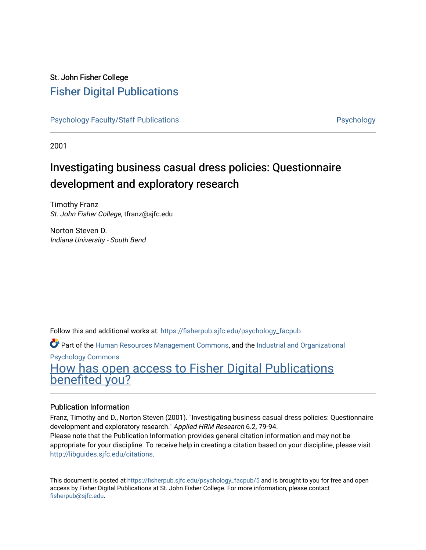# St. John Fisher College [Fisher Digital Publications](https://fisherpub.sjfc.edu/)

[Psychology Faculty/Staff Publications](https://fisherpub.sjfc.edu/psychology_facpub) **Psychology** Psychology

2001

# Investigating business casual dress policies: Questionnaire development and exploratory research

Timothy Franz St. John Fisher College, tfranz@sjfc.edu

Norton Steven D. Indiana University - South Bend

Follow this and additional works at: [https://fisherpub.sjfc.edu/psychology\\_facpub](https://fisherpub.sjfc.edu/psychology_facpub?utm_source=fisherpub.sjfc.edu%2Fpsychology_facpub%2F5&utm_medium=PDF&utm_campaign=PDFCoverPages) 

Part of the [Human Resources Management Commons,](http://network.bepress.com/hgg/discipline/633?utm_source=fisherpub.sjfc.edu%2Fpsychology_facpub%2F5&utm_medium=PDF&utm_campaign=PDFCoverPages) and the [Industrial and Organizational](http://network.bepress.com/hgg/discipline/412?utm_source=fisherpub.sjfc.edu%2Fpsychology_facpub%2F5&utm_medium=PDF&utm_campaign=PDFCoverPages) [Psychology Commons](http://network.bepress.com/hgg/discipline/412?utm_source=fisherpub.sjfc.edu%2Fpsychology_facpub%2F5&utm_medium=PDF&utm_campaign=PDFCoverPages) 

[How has open access to Fisher Digital Publications](https://docs.google.com/forms/d/14zrnDfH9d1wcdq8oG_-gFabAsxfcH5claltx85ZWyTg/viewform?entry.1394608989=https://fisherpub.sjfc.edu/psychology_facpub/5%3Chttps://docs.google.com/forms/d/14zrnDfH9d1wcdq8oG_-gFabAsxfcH5claltx85ZWyTg/viewform?entry.1394608989=%7bhttps://fisherpub.sjfc.edu/psychology_facpub/5%7d) [benefited you?](https://docs.google.com/forms/d/14zrnDfH9d1wcdq8oG_-gFabAsxfcH5claltx85ZWyTg/viewform?entry.1394608989=https://fisherpub.sjfc.edu/psychology_facpub/5%3Chttps://docs.google.com/forms/d/14zrnDfH9d1wcdq8oG_-gFabAsxfcH5claltx85ZWyTg/viewform?entry.1394608989=%7bhttps://fisherpub.sjfc.edu/psychology_facpub/5%7d)

## Publication Information

Franz, Timothy and D., Norton Steven (2001). "Investigating business casual dress policies: Questionnaire development and exploratory research." Applied HRM Research 6.2, 79-94.

Please note that the Publication Information provides general citation information and may not be appropriate for your discipline. To receive help in creating a citation based on your discipline, please visit [http://libguides.sjfc.edu/citations.](http://libguides.sjfc.edu/citations)

This document is posted at [https://fisherpub.sjfc.edu/psychology\\_facpub/5](https://fisherpub.sjfc.edu/psychology_facpub/5) and is brought to you for free and open access by Fisher Digital Publications at St. John Fisher College. For more information, please contact [fisherpub@sjfc.edu](mailto:fisherpub@sjfc.edu).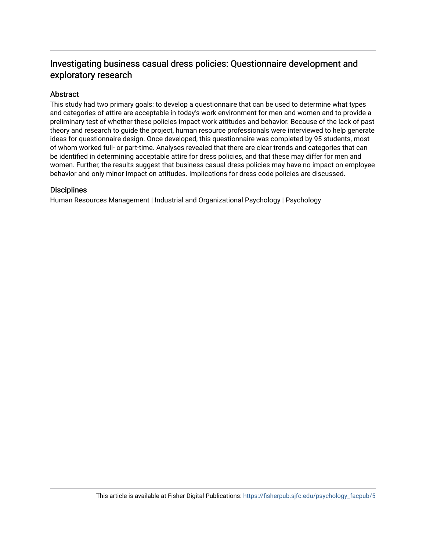# Investigating business casual dress policies: Questionnaire development and exploratory research

## Abstract

This study had two primary goals: to develop a questionnaire that can be used to determine what types and categories of attire are acceptable in today's work environment for men and women and to provide a preliminary test of whether these policies impact work attitudes and behavior. Because of the lack of past theory and research to guide the project, human resource professionals were interviewed to help generate ideas for questionnaire design. Once developed, this questionnaire was completed by 95 students, most of whom worked full- or part-time. Analyses revealed that there are clear trends and categories that can be identified in determining acceptable attire for dress policies, and that these may differ for men and women. Further, the results suggest that business casual dress policies may have no impact on employee behavior and only minor impact on attitudes. Implications for dress code policies are discussed.

### **Disciplines**

Human Resources Management | Industrial and Organizational Psychology | Psychology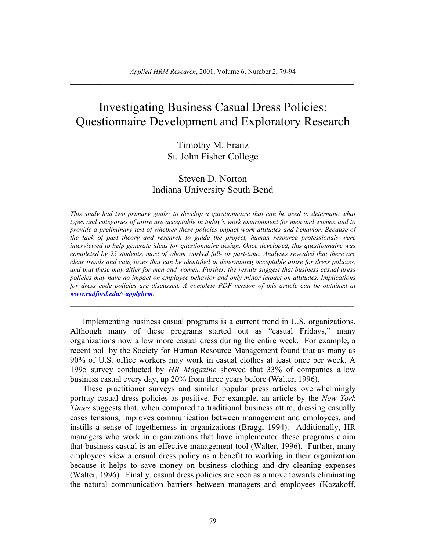$\_$  , and the set of the set of the set of the set of the set of the set of the set of the set of the set of the set of the set of the set of the set of the set of the set of the set of the set of the set of the set of th

# Investigating Business Casual Dress Policies: Questionnaire Development and Exploratory Research

## Timothy M. Franz St. John Fisher College

# Steven D. Norton Indiana University South Bend

*This study had two primary goals: to develop a questionnaire that can be used to determine what types and categories of attire are acceptable in today's work environment for men and women and to provide a preliminary test of whether these policies impact work attitudes and behavior. Because of the lack of past theory and research to guide the project, human resource professionals were interviewed to help generate ideas for questionnaire design. Once developed, this questionnaire was completed by 95 students, most of whom worked full- or part-time. Analyses revealed that there are clear trends and categories that can be identified in determining acceptable attire for dress policies, and that these may differ for men and women. Further, the results suggest that business casual dress policies may have no impact on employee behavior and only minor impact on attitudes. Implications for dress code policies are discussed. A complete PDF version of this article can be obtained at [www.radford.edu/~applyhrm](http://www.radford.edu/~applyhrm).* 

Implementing business casual programs is a current trend in U.S. organizations. Although many of these programs started out as "casual Fridays," many organizations now allow more casual dress during the entire week. For example, a recent poll by the Society for Human Resource Management found that as many as 90% of U.S. office workers may work in casual clothes at least once per week. A 1995 survey conducted by *HR Magazine* showed that 33% of companies allow business casual every day, up 20% from three years before (Walter, 1996).

**\_\_\_\_\_\_\_\_\_\_\_\_\_\_\_\_\_\_\_\_\_\_\_\_\_\_\_\_\_\_\_\_\_\_\_\_\_\_\_\_\_\_\_\_\_\_\_\_\_\_\_\_\_\_\_\_\_\_\_\_\_\_\_\_\_\_\_\_**

These practitioner surveys and similar popular press articles overwhelmingly portray casual dress policies as positive. For example, an article by the *New York Times* suggests that, when compared to traditional business attire, dressing casually eases tensions, improves communication between management and employees, and instills a sense of togetherness in organizations (Bragg, 1994). Additionally, HR managers who work in organizations that have implemented these programs claim that business casual is an effective management tool (Walter, 1996). Further, many employees view a casual dress policy as a benefit to working in their organization because it helps to save money on business clothing and dry cleaning expenses (Walter, 1996). Finally, casual dress policies are seen as a move towards eliminating the natural communication barriers between managers and employees (Kazakoff,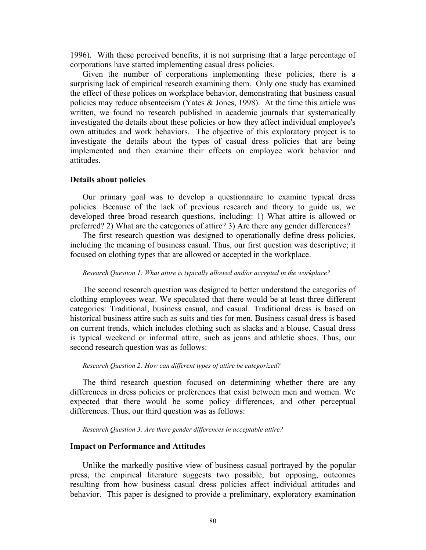1996). With these perceived benefits, it is not surprising that a large percentage of corporations have started implementing casual dress policies.

Given the number of corporations implementing these policies, there is a surprising lack of empirical research examining them. Only one study has examined the effect of these polices on workplace behavior, demonstrating that business casual policies may reduce absenteeism (Yates & Jones, 1998). At the time this article was written, we found no research published in academic journals that systematically investigated the details about these policies or how they affect individual employee's own attitudes and work behaviors. The objective of this exploratory project is to investigate the details about the types of casual dress policies that are being implemented and then examine their effects on employee work behavior and attitudes.

#### **Details about policies**

Our primary goal was to develop a questionnaire to examine typical dress policies. Because of the lack of previous research and theory to guide us, we developed three broad research questions, including: 1) What attire is allowed or preferred? 2) What are the categories of attire? 3) Are there any gender differences?

The first research question was designed to operationally define dress policies, including the meaning of business casual. Thus, our first question was descriptive; it focused on clothing types that are allowed or accepted in the workplace.

#### *Research Question 1: What attire is typically allowed and/or accepted in the workplace?*

The second research question was designed to better understand the categories of clothing employees wear. We speculated that there would be at least three different categories: Traditional, business casual, and casual. Traditional dress is based on historical business attire such as suits and ties for men. Business casual dress is based on current trends, which includes clothing such as slacks and a blouse. Casual dress is typical weekend or informal attire, such as jeans and athletic shoes. Thus, our second research question was as follows:

#### *Research Question 2: How can different types of attire be categorized?*

The third research question focused on determining whether there are any differences in dress policies or preferences that exist between men and women. We expected that there would be some policy differences, and other perceptual differences. Thus, our third question was as follows:

*Research Question 3: Are there gender differences in acceptable attire?* 

### **Impact on Performance and Attitudes**

Unlike the markedly positive view of business casual portrayed by the popular press, the empirical literature suggests two possible, but opposing, outcomes resulting from how business casual dress policies affect individual attitudes and behavior. This paper is designed to provide a preliminary, exploratory examination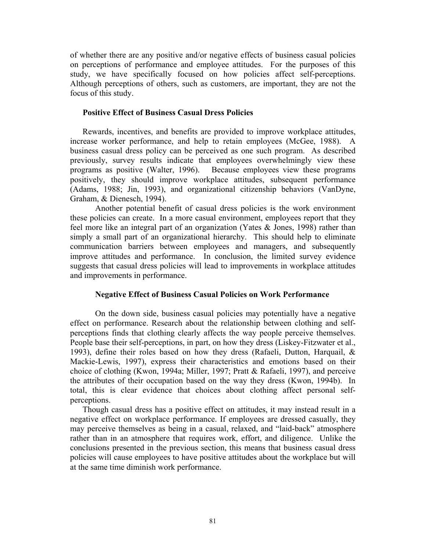of whether there are any positive and/or negative effects of business casual policies on perceptions of performance and employee attitudes. For the purposes of this study, we have specifically focused on how policies affect self-perceptions. Although perceptions of others, such as customers, are important, they are not the focus of this study.

### **Positive Effect of Business Casual Dress Policies**

Rewards, incentives, and benefits are provided to improve workplace attitudes, increase worker performance, and help to retain employees (McGee, 1988). A business casual dress policy can be perceived as one such program. As described previously, survey results indicate that employees overwhelmingly view these programs as positive (Walter, 1996). Because employees view these programs positively, they should improve workplace attitudes, subsequent performance (Adams, 1988; Jin, 1993), and organizational citizenship behaviors (VanDyne, Graham, & Dienesch, 1994).

Another potential benefit of casual dress policies is the work environment these policies can create. In a more casual environment, employees report that they feel more like an integral part of an organization (Yates & Jones, 1998) rather than simply a small part of an organizational hierarchy. This should help to eliminate communication barriers between employees and managers, and subsequently improve attitudes and performance. In conclusion, the limited survey evidence suggests that casual dress policies will lead to improvements in workplace attitudes and improvements in performance.

### **Negative Effect of Business Casual Policies on Work Performance**

On the down side, business casual policies may potentially have a negative effect on performance. Research about the relationship between clothing and selfperceptions finds that clothing clearly affects the way people perceive themselves. People base their self-perceptions, in part, on how they dress (Liskey-Fitzwater et al., 1993), define their roles based on how they dress (Rafaeli, Dutton, Harquail, & Mackie-Lewis, 1997), express their characteristics and emotions based on their choice of clothing (Kwon, 1994a; Miller, 1997; Pratt & Rafaeli, 1997), and perceive the attributes of their occupation based on the way they dress (Kwon, 1994b). In total, this is clear evidence that choices about clothing affect personal selfperceptions.

Though casual dress has a positive effect on attitudes, it may instead result in a negative effect on workplace performance. If employees are dressed casually, they may perceive themselves as being in a casual, relaxed, and "laid-back" atmosphere rather than in an atmosphere that requires work, effort, and diligence. Unlike the conclusions presented in the previous section, this means that business casual dress policies will cause employees to have positive attitudes about the workplace but will at the same time diminish work performance.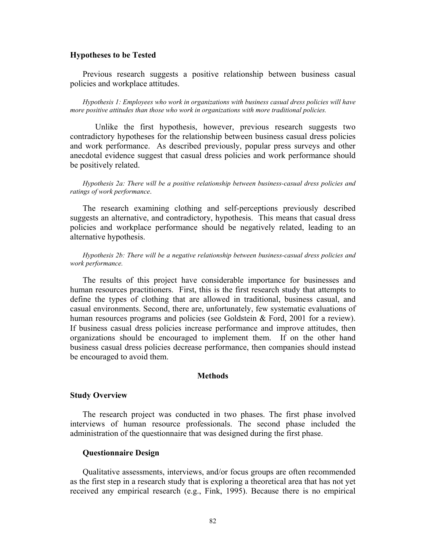#### **Hypotheses to be Tested**

Previous research suggests a positive relationship between business casual policies and workplace attitudes.

*Hypothesis 1: Employees who work in organizations with business casual dress policies will have more positive attitudes than those who work in organizations with more traditional policies.* 

Unlike the first hypothesis, however, previous research suggests two contradictory hypotheses for the relationship between business casual dress policies and work performance. As described previously, popular press surveys and other anecdotal evidence suggest that casual dress policies and work performance should be positively related.

*Hypothesis 2a: There will be a positive relationship between business-casual dress policies and ratings of work performance*.

The research examining clothing and self-perceptions previously described suggests an alternative, and contradictory, hypothesis. This means that casual dress policies and workplace performance should be negatively related, leading to an alternative hypothesis.

*Hypothesis 2b: There will be a negative relationship between business-casual dress policies and work performance.* 

The results of this project have considerable importance for businesses and human resources practitioners. First, this is the first research study that attempts to define the types of clothing that are allowed in traditional, business casual, and casual environments. Second, there are, unfortunately, few systematic evaluations of human resources programs and policies (see Goldstein & Ford, 2001 for a review). If business casual dress policies increase performance and improve attitudes, then organizations should be encouraged to implement them. If on the other hand business casual dress policies decrease performance, then companies should instead be encouraged to avoid them.

#### **Methods**

#### **Study Overview**

The research project was conducted in two phases. The first phase involved interviews of human resource professionals. The second phase included the administration of the questionnaire that was designed during the first phase.

#### **Questionnaire Design**

Qualitative assessments, interviews, and/or focus groups are often recommended as the first step in a research study that is exploring a theoretical area that has not yet received any empirical research (e.g., Fink, 1995). Because there is no empirical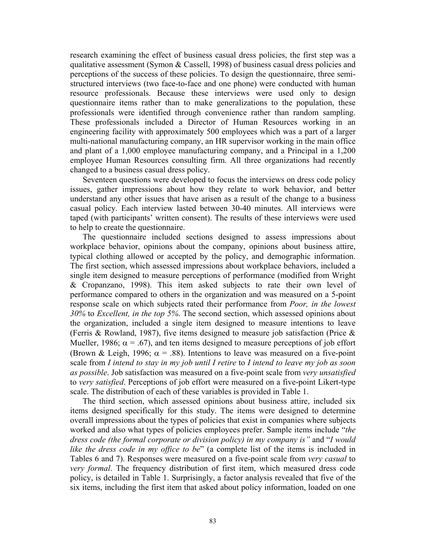research examining the effect of business casual dress policies, the first step was a qualitative assessment (Symon & Cassell, 1998) of business casual dress policies and perceptions of the success of these policies. To design the questionnaire, three semistructured interviews (two face-to-face and one phone) were conducted with human resource professionals. Because these interviews were used only to design questionnaire items rather than to make generalizations to the population, these professionals were identified through convenience rather than random sampling. These professionals included a Director of Human Resources working in an engineering facility with approximately 500 employees which was a part of a larger multi-national manufacturing company, an HR supervisor working in the main office and plant of a 1,000 employee manufacturing company, and a Principal in a 1,200 employee Human Resources consulting firm. All three organizations had recently changed to a business casual dress policy.

Seventeen questions were developed to focus the interviews on dress code policy issues, gather impressions about how they relate to work behavior, and better understand any other issues that have arisen as a result of the change to a business casual policy. Each interview lasted between 30-40 minutes. All interviews were taped (with participants' written consent). The results of these interviews were used to help to create the questionnaire.

 The questionnaire included sections designed to assess impressions about workplace behavior, opinions about the company, opinions about business attire, typical clothing allowed or accepted by the policy, and demographic information. The first section, which assessed impressions about workplace behaviors, included a single item designed to measure perceptions of performance (modified from Wright & Cropanzano, 1998). This item asked subjects to rate their own level of performance compared to others in the organization and was measured on a 5-point response scale on which subjects rated their performance from *Poor, in the lowest 30%* to *Excellent, in the top 5%*. The second section, which assessed opinions about the organization, included a single item designed to measure intentions to leave (Ferris & Rowland, 1987), five items designed to measure job satisfaction (Price & Mueller, 1986;  $\alpha = .67$ ), and ten items designed to measure perceptions of job effort (Brown & Leigh, 1996;  $\alpha = .88$ ). Intentions to leave was measured on a five-point scale from *I intend to stay in my job until I retire* to *I intend to leave my job as soon as possible*. Job satisfaction was measured on a five-point scale from *very unsatisfied* to *very satisfied*. Perceptions of job effort were measured on a five-point Likert-type scale. The distribution of each of these variables is provided in Table 1.

The third section, which assessed opinions about business attire, included six items designed specifically for this study. The items were designed to determine overall impressions about the types of policies that exist in companies where subjects worked and also what types of policies employees prefer. Sample items include "*the dress code (the formal corporate or division policy) in my company is"* and "*I would like the dress code in my office to be*" (a complete list of the items is included in Tables 6 and 7). Responses were measured on a five-point scale from *very casual* to *very formal*. The frequency distribution of first item, which measured dress code policy, is detailed in Table 1. Surprisingly, a factor analysis revealed that five of the six items, including the first item that asked about policy information, loaded on one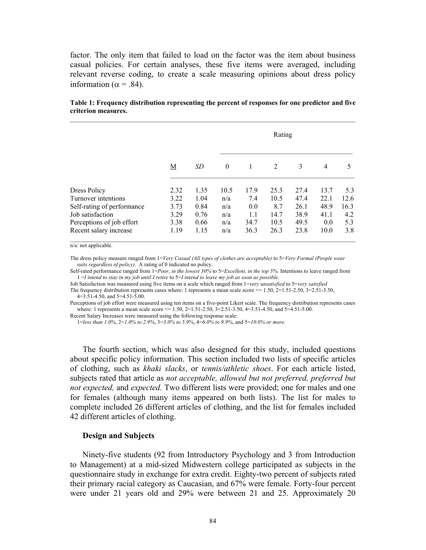factor. The only item that failed to load on the factor was the item about business casual policies. For certain analyses, these five items were averaged, including relevant reverse coding, to create a scale measuring opinions about dress policy information ( $α = .84$ ).

|                            |      |      | Rating       |      |      |      |                |      |  |  |  |
|----------------------------|------|------|--------------|------|------|------|----------------|------|--|--|--|
|                            | M    | SD   | $\mathbf{0}$ | 1    | 2    | 3    | $\overline{4}$ | 5    |  |  |  |
| Dress Policy               | 2.32 | 1.35 | 10.5         | 17.9 | 25.3 | 27.4 | 13.7           | 5.3  |  |  |  |
| Turnover intentions        | 3.22 | 1.04 | n/a          | 7.4  | 10.5 | 47.4 | 22.1           | 12.6 |  |  |  |
| Self-rating of performance | 3.73 | 0.84 | n/a          | 0.0  | 8.7  | 26.1 | 48.9           | 16.3 |  |  |  |
| Job satisfaction           | 3.29 | 0.76 | n/a          | 1.1  | 14.7 | 38.9 | 41.1           | 4.2  |  |  |  |
| Perceptions of job effort  | 3.38 | 0.66 | n/a          | 34.7 | 10.5 | 49.5 | 0.0            | 5.3  |  |  |  |
| Recent salary increase     | 1.19 | 1.15 | n/a          | 36.3 | 26.3 | 23.8 | 10.0           | 3.8  |  |  |  |

#### **Table 1: Frequency distribution representing the percent of responses for one predictor and five criterion measures.**   $\mathcal{L}_\mathcal{L} = \{ \mathcal{L}_\mathcal{L} = \{ \mathcal{L}_\mathcal{L} = \{ \mathcal{L}_\mathcal{L} = \{ \mathcal{L}_\mathcal{L} = \{ \mathcal{L}_\mathcal{L} = \{ \mathcal{L}_\mathcal{L} = \{ \mathcal{L}_\mathcal{L} = \{ \mathcal{L}_\mathcal{L} = \{ \mathcal{L}_\mathcal{L} = \{ \mathcal{L}_\mathcal{L} = \{ \mathcal{L}_\mathcal{L} = \{ \mathcal{L}_\mathcal{L} = \{ \mathcal{L}_\mathcal{L} = \{ \mathcal{L}_\mathcal{$

n/a: not applicable.

The dress policy measure ranged from 1=*Very Casual (All types of clothes are acceptable)* to 5=*Very Formal (People wear suits regardless of policy)*. A rating of 0 indicated no policy.

Self-rated performance ranged from 1=*Poor, in the lowest 30%* to 5=*Excellent, in the top 5%*. Intentions to leave ranged from 1 =*I intend to stay in my job until I retire* to 5=*I intend to leave my job as soon as possible*.

Job Satisfaction was measured using five items on a scale which ranged from 1=*very unsatisfied* to 5=*very satisfied* 

The frequency distribution represents cases where: 1 represents a mean scale score  $\leq 1.50$ ,  $2=1.51-2.50$ ,  $3=2.51-3.50$ , 4=3.51-4.50, and 5=4.51-5.00.

Perceptions of job effort were measured using ten items on a five-point Likert scale. The frequency distribution represents cases where: 1 represents a mean scale score <= 1.50, 2=1.51-2.50, 3=2.51-3.50, 4=3.51-4.50, and 5=4.51-5.00.

Recent Salary Increases were measured using the following response scale:

1=*less than 1.0%*, 2=*1.0% to 2.9%*, 3=*3.0% to 5.9%*, 4=*6.0% to 9.9%*, and 5=*10.0% or more.*

The fourth section, which was also designed for this study, included questions about specific policy information. This section included two lists of specific articles of clothing, such as *khaki slacks*, or *tennis/athletic shoes*. For each article listed, subjects rated that article as *not acceptable, allowed but not preferred, preferred but not expected,* and *expected.* Two different lists were provided; one for males and one for females (although many items appeared on both lists). The list for males to complete included 26 different articles of clothing, and the list for females included 42 different articles of clothing.

#### **Design and Subjects**

Ninety-five students (92 from Introductory Psychology and 3 from Introduction to Management) at a mid-sized Midwestern college participated as subjects in the questionnaire study in exchange for extra credit. Eighty-two percent of subjects rated their primary racial category as Caucasian, and 67% were female. Forty-four percent were under 21 years old and 29% were between 21 and 25. Approximately 20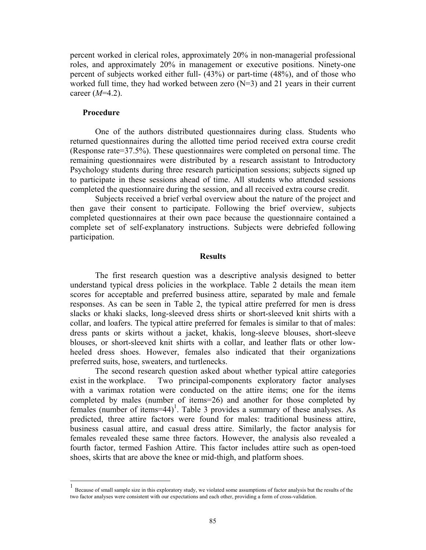percent worked in clerical roles, approximately 20% in non-managerial professional roles, and approximately 20% in management or executive positions. Ninety-one percent of subjects worked either full- (43%) or part-time (48%), and of those who worked full time, they had worked between zero (N=3) and 21 years in their current career (*M*=4.2).

#### **Procedure**

One of the authors distributed questionnaires during class. Students who returned questionnaires during the allotted time period received extra course credit (Response rate=37.5%). These questionnaires were completed on personal time. The remaining questionnaires were distributed by a research assistant to Introductory Psychology students during three research participation sessions; subjects signed up to participate in these sessions ahead of time. All students who attended sessions completed the questionnaire during the session, and all received extra course credit.

Subjects received a brief verbal overview about the nature of the project and then gave their consent to participate. Following the brief overview, subjects completed questionnaires at their own pace because the questionnaire contained a complete set of self-explanatory instructions. Subjects were debriefed following participation.

#### **Results**

The first research question was a descriptive analysis designed to better understand typical dress policies in the workplace. Table 2 details the mean item scores for acceptable and preferred business attire, separated by male and female responses. As can be seen in Table 2, the typical attire preferred for men is dress slacks or khaki slacks, long-sleeved dress shirts or short-sleeved knit shirts with a collar, and loafers. The typical attire preferred for females is similar to that of males: dress pants or skirts without a jacket, khakis, long-sleeve blouses, short-sleeve blouses, or short-sleeved knit shirts with a collar, and leather flats or other lowheeled dress shoes. However, females also indicated that their organizations preferred suits, hose, sweaters, and turtlenecks.

The second research question asked about whether typical attire categories exist in the workplace. Two principal-components exploratory factor analyses with a varimax rotation were conducted on the attire items; one for the items completed by males (number of items=26) and another for those completed by females (number of items=44)<sup>[1](#page-8-0)</sup>. Table 3 provides a summary of these analyses. As predicted, three attire factors were found for males: traditional business attire, business casual attire, and casual dress attire. Similarly, the factor analysis for females revealed these same three factors. However, the analysis also revealed a fourth factor, termed Fashion Attire. This factor includes attire such as open-toed shoes, skirts that are above the knee or mid-thigh, and platform shoes.

<span id="page-8-0"></span> <sup>1</sup> Because of small sample size in this exploratory study, we violated some assumptions of factor analysis but the results of the two factor analyses were consistent with our expectations and each other, providing a form of cross-validation.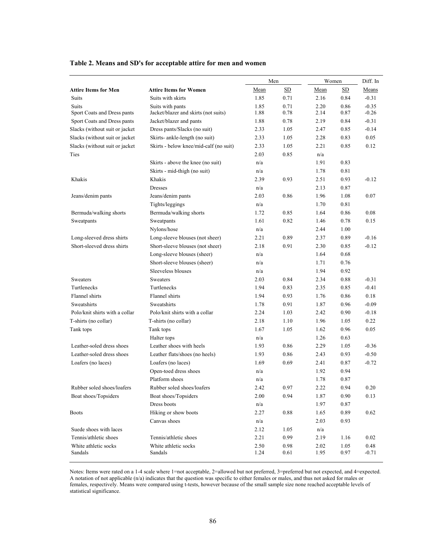|                                              |                                        | Men  |      | Women |      | Diff. In |  |
|----------------------------------------------|----------------------------------------|------|------|-------|------|----------|--|
| <b>Attire Items for Men</b>                  | <b>Attire Items for Women</b>          | Mean | SD   | Mean  | SD   | Means    |  |
| <b>Suits</b>                                 | Suits with skirts                      | 1.85 | 0.71 | 2.16  | 0.84 | $-0.31$  |  |
| Suits                                        | Suits with pants                       | 1.85 | 0.71 | 2.20  | 0.86 | $-0.35$  |  |
| Sport Coats and Dress pants                  | Jacket/blazer and skirts (not suits)   | 1.88 | 0.78 | 2.14  | 0.87 | $-0.26$  |  |
| Sport Coats and Dress pants                  | Jacket/blazer and pants                | 1.88 | 0.78 | 2.19  | 0.84 | $-0.31$  |  |
| Slacks (without suit or jacket               | Dress pants/Slacks (no suit)           | 2.33 | 1.05 | 2.47  | 0.85 | $-0.14$  |  |
| Slacks (without suit or jacket               | Skirts- ankle-length (no suit)         | 2.33 | 1.05 | 2.28  | 0.83 | 0.05     |  |
| Slacks (without suit or jacket               | Skirts - below knee/mid-calf (no suit) | 2.33 | 1.05 | 2.21  | 0.85 | 0.12     |  |
| Ties                                         |                                        | 2.03 | 0.85 | n/a   |      |          |  |
|                                              | Skirts - above the knee (no suit)      | n/a  |      | 1.91  | 0.83 |          |  |
|                                              | Skirts - mid-thigh (no suit)           | n/a  |      | 1.78  | 0.81 |          |  |
| Khakis                                       | Khakis                                 | 2.39 | 0.93 | 2.51  | 0.93 | $-0.12$  |  |
|                                              | <b>Dresses</b>                         | n/a  |      | 2.13  | 0.87 |          |  |
| Jeans/denim pants                            | Jeans/denim pants                      | 2.03 | 0.86 | 1.96  | 1.08 | 0.07     |  |
|                                              | Tights/leggings                        | n/a  |      | 1.70  | 0.81 |          |  |
| Bermuda/walking shorts                       | Bermuda/walking shorts                 | 1.72 | 0.85 | 1.64  | 0.86 | 0.08     |  |
| Sweatpants                                   | Sweatpants                             | 1.61 | 0.82 | 1.46  | 0.78 | 0.15     |  |
|                                              | Nylons/hose                            | n/a  |      | 2.44  | 1.00 |          |  |
| Long-sleeved dress shirts                    | Long-sleeve blouses (not sheer)        | 2.21 | 0.89 | 2.37  | 0.89 | $-0.16$  |  |
| Short-sleeved dress shirts                   | Short-sleeve blouses (not sheer)       | 2.18 | 0.91 | 2.30  | 0.85 | $-0.12$  |  |
|                                              | Long-sleeve blouses (sheer)            | n/a  |      | 1.64  | 0.68 |          |  |
|                                              | Short-sleeve blouses (sheer)           | n/a  |      | 1.71  | 0.76 |          |  |
|                                              | Sleeveless blouses                     | n/a  |      | 1.94  | 0.92 |          |  |
| Sweaters                                     | Sweaters                               | 2.03 | 0.84 | 2.34  | 0.88 | $-0.31$  |  |
| Turtlenecks                                  | Turtlenecks                            |      | 0.83 | 2.35  | 0.85 | $-0.41$  |  |
| Flannel shirts                               | Flannel shirts                         | 1.94 | 0.93 | 1.76  | 0.86 | 0.18     |  |
| Sweatshirts                                  | Sweatshirts                            | 1.78 | 0.91 | 1.87  | 0.96 | $-0.09$  |  |
| Polo/knit shirts with a collar               | Polo/knit shirts with a collar         | 2.24 | 1.03 | 2.42  | 0.90 | $-0.18$  |  |
| T-shirts (no collar)                         | T-shirts (no collar)                   | 2.18 | 1.10 | 1.96  | 1.05 | 0.22     |  |
| Tank tops                                    | Tank tops                              | 1.67 | 1.05 | 1.62  | 0.96 | 0.05     |  |
|                                              | Halter tops                            | n/a  |      | 1.26  | 0.63 |          |  |
| Leather-soled dress shoes                    | Leather shoes with heels               | 1.93 | 0.86 | 2.29  | 1.05 | $-0.36$  |  |
| Leather-soled dress shoes                    | Leather flats/shoes (no heels)         | 1.93 | 0.86 | 2.43  | 0.93 | $-0.50$  |  |
| Loafers (no laces)                           | Loafers (no laces)                     | 1.69 | 0.69 | 2.41  | 0.87 | $-0.72$  |  |
|                                              | Open-toed dress shoes                  | n/a  |      | 1.92  | 0.94 |          |  |
|                                              | Platform shoes                         | n/a  |      | 1.78  | 0.87 |          |  |
| Rubber soled shoes/loafers                   | Rubber soled shoes/loafers             | 2.42 | 0.97 | 2.22  | 0.94 | 0.20     |  |
| Boat shoes/Topsiders                         | Boat shoes/Topsiders                   | 2.00 | 0.94 | 1.87  | 0.90 | 0.13     |  |
|                                              | Dress boots                            | n/a  |      | 1.97  | 0.87 |          |  |
| <b>Boots</b>                                 | Hiking or show boots                   | 2.27 | 0.88 | 1.65  | 0.89 | 0.62     |  |
|                                              | Canvas shoes                           | n/a  |      | 2.03  | 0.93 |          |  |
| Suede shoes with laces                       |                                        | 2.12 | 1.05 | n/a   |      |          |  |
| Tennis/athletic shoes                        | Tennis/athletic shoes                  | 2.21 | 0.99 | 2.19  | 1.16 | 0.02     |  |
| White athletic socks<br>White athletic socks |                                        | 2.50 | 0.98 | 2.02  | 1.05 | 0.48     |  |
| Sandals                                      | Sandals                                | 1.24 | 0.61 | 1.95  | 0.97 | $-0.71$  |  |

#### **Table 2. Means and SD's for acceptable attire for men and women**

Notes: Items were rated on a 1-4 scale where 1=not acceptable, 2=allowed but not preferred, 3=preferred but not expected, and 4=expected. A notation of not applicable (n/a) indicates that the question was specific to either females or males, and thus not asked for males or females, respectively. Means were compared using t-tests, however because of the small sample size none reached acceptable levels of statistical significance.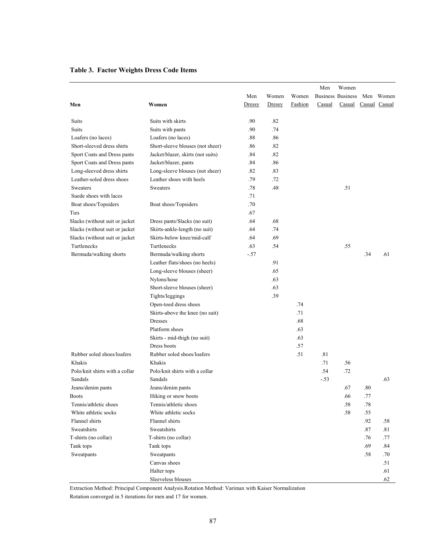|                                               |                                                             |        |        |         | Men    | Women                    |         |           |
|-----------------------------------------------|-------------------------------------------------------------|--------|--------|---------|--------|--------------------------|---------|-----------|
|                                               |                                                             | Men    | Women  | Women   |        | <b>Business Business</b> |         | Men Women |
|                                               | Women                                                       | Dressy | Dressy | Fashion | Casual | Casual Casual Casual     |         |           |
| Men                                           |                                                             |        |        |         |        |                          |         |           |
| Suits                                         | Suits with skirts                                           | .90    | .82    |         |        |                          |         |           |
| <b>Suits</b>                                  | Suits with pants                                            | .90    | .74    |         |        |                          |         |           |
| Loafers (no laces)                            | Loafers (no laces)                                          | .88    | .86    |         |        |                          |         |           |
| Short-sleeved dress shirts                    | Short-sleeve blouses (not sheer)                            | .86    | .82    |         |        |                          |         |           |
| Sport Coats and Dress pants                   | Jacket/blazer, skirts (not suits)                           | .84    | .82    |         |        |                          |         |           |
| Sport Coats and Dress pants                   | Jacket/blazer, pants                                        | .84    | .86    |         |        |                          |         |           |
| Long-sleeved dress shirts                     | Long-sleeve blouses (not sheer)                             | .82    | .83    |         |        |                          |         |           |
| Leather-soled dress shoes                     | Leather shoes with heels                                    | .79    | .72    |         |        |                          |         |           |
| Sweaters                                      | Sweaters                                                    | .78    | .48    |         |        | .51                      |         |           |
| Suede shoes with laces                        |                                                             | .71    |        |         |        |                          |         |           |
| Boat shoes/Topsiders                          | Boat shoes/Topsiders                                        | .70    |        |         |        |                          |         |           |
| Ties                                          |                                                             | .67    |        |         |        |                          |         |           |
| Slacks (without suit or jacket                | Dress pants/Slacks (no suit)                                | .64    | .68    |         |        |                          |         |           |
| Slacks (without suit or jacket                |                                                             | .64    | .74    |         |        |                          |         |           |
|                                               | Skirts-ankle-length (no suit)<br>Skirts-below knee/mid-calf |        |        |         |        |                          |         |           |
| Slacks (without suit or jacket<br>Turtlenecks |                                                             | .64    | .69    |         |        |                          |         |           |
|                                               | Turtlenecks                                                 | .63    | .54    |         |        | .55                      |         |           |
| Bermuda/walking shorts                        | Bermuda/walking shorts                                      | $-.57$ |        |         |        |                          | .34     | .61       |
|                                               | Leather flats/shoes (no heels)                              |        | .91    |         |        |                          |         |           |
|                                               | Long-sleeve blouses (sheer)                                 |        | .65    |         |        |                          |         |           |
|                                               | Nylons/hose                                                 |        | .63    |         |        |                          |         |           |
|                                               | Short-sleeve blouses (sheer)                                |        | .63    |         |        |                          |         |           |
|                                               | Tights/leggings                                             |        | .39    |         |        |                          |         |           |
|                                               | Open-toed dress shoes                                       |        |        | .74     |        |                          |         |           |
|                                               | Skirts-above the knee (no suit)                             |        |        | .71     |        |                          |         |           |
|                                               | Dresses                                                     |        |        | .68     |        |                          |         |           |
|                                               | Platform shoes                                              |        |        | .63     |        |                          |         |           |
|                                               | Skirts - mid-thigh (no suit)                                |        |        | .63     |        |                          |         |           |
|                                               | Dress boots                                                 |        |        | .57     |        |                          |         |           |
| Rubber soled shoes/loafers                    | Rubber soled shoes/loafers                                  |        |        | .51     | .81    |                          |         |           |
| Khakis                                        | Khakis                                                      |        |        |         | .71    | .56                      |         |           |
| Polo/knit shirts with a collar                | Polo/knit shirts with a collar                              |        |        |         | .54    | .72                      |         |           |
| Sandals                                       | Sandals                                                     |        |        |         | $-.53$ |                          |         | .63       |
| Jeans/denim pants                             | Jeans/denim pants                                           |        |        |         |        | .67                      | .80     |           |
| <b>Boots</b>                                  | Hiking or snow boots                                        |        |        |         |        | .66                      | .77     |           |
| Tennis/athletic shoes                         | Tennis/athletic shoes                                       |        |        |         |        | .58                      | .78     |           |
| White athletic socks                          | White athletic socks                                        |        |        |         |        | .58                      | .55     |           |
| Flannel shirts                                | Flannel shirts                                              |        |        |         |        |                          | .92     | .58       |
| Sweatshirts                                   | Sweatshirts                                                 |        |        |         |        |                          | $.87\,$ | .81       |
| T-shirts (no collar)                          | T-shirts (no collar)                                        |        |        |         |        |                          | .76     | .77       |
| Tank tops                                     | Tank tops                                                   |        |        |         |        |                          | .69     | .84       |
| Sweatpants                                    | Sweatpants                                                  |        |        |         |        |                          | .58     | .70       |
|                                               | Canvas shoes                                                |        |        |         |        |                          |         | .51       |
|                                               | Halter tops                                                 |        |        |         |        |                          |         | .61       |
|                                               | Sleeveless blouses                                          |        |        |         |        |                          |         | .62       |

#### **Table 3. Factor Weights Dress Code Items**

Extraction Method: Principal Component Analysis.Rotation Method: Varimax with Kaiser Normalization

Rotation converged in 5 iterations for men and 17 for women.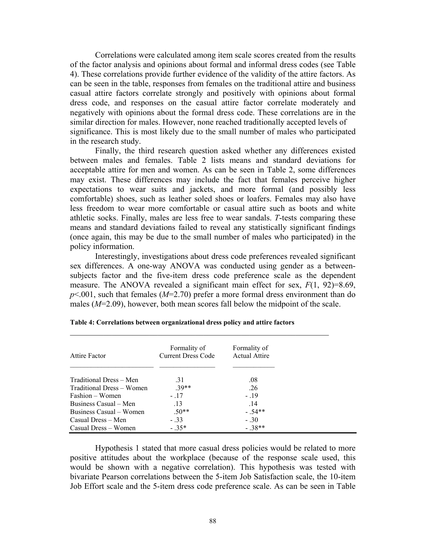Correlations were calculated among item scale scores created from the results of the factor analysis and opinions about formal and informal dress codes (see Table 4). These correlations provide further evidence of the validity of the attire factors. As can be seen in the table, responses from females on the traditional attire and business casual attire factors correlate strongly and positively with opinions about formal dress code, and responses on the casual attire factor correlate moderately and negatively with opinions about the formal dress code. These correlations are in the similar direction for males. However, none reached traditionally accepted levels of significance. This is most likely due to the small number of males who participated in the research study.

Finally, the third research question asked whether any differences existed between males and females. Table 2 lists means and standard deviations for acceptable attire for men and women. As can be seen in Table 2, some differences may exist. These differences may include the fact that females perceive higher expectations to wear suits and jackets, and more formal (and possibly less comfortable) shoes, such as leather soled shoes or loafers. Females may also have less freedom to wear more comfortable or casual attire such as boots and white athletic socks. Finally, males are less free to wear sandals. *T*-tests comparing these means and standard deviations failed to reveal any statistically significant findings (once again, this may be due to the small number of males who participated) in the policy information.

Interestingly, investigations about dress code preferences revealed significant sex differences. A one-way ANOVA was conducted using gender as a betweensubjects factor and the five-item dress code preference scale as the dependent measure. The ANOVA revealed a significant main effect for sex, *F*(1, 92)=8.69, *p*<.001, such that females (*M*=2.70) prefer a more formal dress environment than do males (*M*=2.09), however, both mean scores fall below the midpoint of the scale.

| Attire Factor             | Formality of<br>Current Dress Code | Formality of<br><b>Actual Attire</b> |
|---------------------------|------------------------------------|--------------------------------------|
| Traditional Dress – Men   | .31                                | .08                                  |
| Traditional Dress – Women | $39**$                             | .26                                  |
| Fashion – Women           | $-17$                              | $-19$                                |
| Business Casual – Men     | .13                                | .14                                  |
| Business Casual – Women   | $.50**$                            | $-.54**$                             |
| Casual Dress – Men        | $-33$                              | $-.30$                               |
| Casual Dress – Women      | $-35*$                             | $-.38**$                             |

**Table 4: Correlations between organizational dress policy and attire factors** 

Hypothesis 1 stated that more casual dress policies would be related to more positive attitudes about the workplace (because of the response scale used, this would be shown with a negative correlation). This hypothesis was tested with bivariate Pearson correlations between the 5-item Job Satisfaction scale, the 10-item Job Effort scale and the 5-item dress code preference scale. As can be seen in Table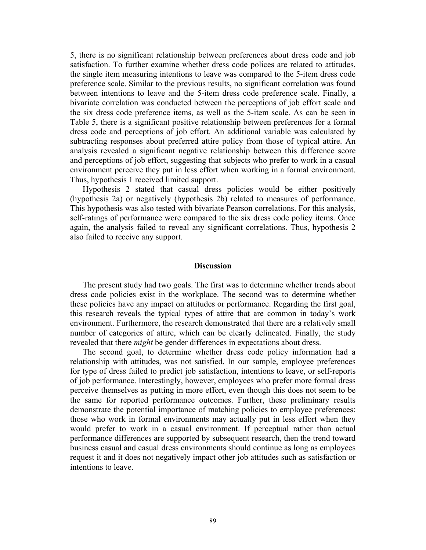5, there is no significant relationship between preferences about dress code and job satisfaction. To further examine whether dress code polices are related to attitudes, the single item measuring intentions to leave was compared to the 5-item dress code preference scale. Similar to the previous results, no significant correlation was found between intentions to leave and the 5-item dress code preference scale. Finally, a bivariate correlation was conducted between the perceptions of job effort scale and the six dress code preference items, as well as the 5-item scale. As can be seen in Table 5, there is a significant positive relationship between preferences for a formal dress code and perceptions of job effort. An additional variable was calculated by subtracting responses about preferred attire policy from those of typical attire. An analysis revealed a significant negative relationship between this difference score and perceptions of job effort, suggesting that subjects who prefer to work in a casual environment perceive they put in less effort when working in a formal environment. Thus, hypothesis 1 received limited support.

Hypothesis 2 stated that casual dress policies would be either positively (hypothesis 2a) or negatively (hypothesis 2b) related to measures of performance. This hypothesis was also tested with bivariate Pearson correlations. For this analysis, self-ratings of performance were compared to the six dress code policy items. Once again, the analysis failed to reveal any significant correlations. Thus, hypothesis 2 also failed to receive any support.

#### **Discussion**

The present study had two goals. The first was to determine whether trends about dress code policies exist in the workplace. The second was to determine whether these policies have any impact on attitudes or performance. Regarding the first goal, this research reveals the typical types of attire that are common in today's work environment. Furthermore, the research demonstrated that there are a relatively small number of categories of attire, which can be clearly delineated. Finally, the study revealed that there *might* be gender differences in expectations about dress.

The second goal, to determine whether dress code policy information had a relationship with attitudes, was not satisfied. In our sample, employee preferences for type of dress failed to predict job satisfaction, intentions to leave, or self-reports of job performance. Interestingly, however, employees who prefer more formal dress perceive themselves as putting in more effort, even though this does not seem to be the same for reported performance outcomes. Further, these preliminary results demonstrate the potential importance of matching policies to employee preferences: those who work in formal environments may actually put in less effort when they would prefer to work in a casual environment. If perceptual rather than actual performance differences are supported by subsequent research, then the trend toward business casual and casual dress environments should continue as long as employees request it and it does not negatively impact other job attitudes such as satisfaction or intentions to leave.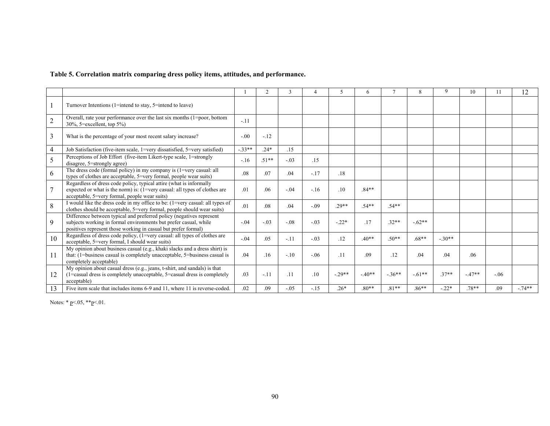#### **Table 5. Correlation matrix comparing dress policy items, attitudes, and performance.**

|                |                                                                                                                                                                                                            |         |         | 3      |        | 5.       | 6       |          | 8        |          | 10      |       | 12       |
|----------------|------------------------------------------------------------------------------------------------------------------------------------------------------------------------------------------------------------|---------|---------|--------|--------|----------|---------|----------|----------|----------|---------|-------|----------|
|                | Turnover Intentions (1=intend to stay, 5=intend to leave)                                                                                                                                                  |         |         |        |        |          |         |          |          |          |         |       |          |
| $\mathbf{2}$   | Overall, rate your performance over the last six months (1=poor, bottom<br>$30\%$ , 5=excellent, top $5\%$ )                                                                                               | $-.11$  |         |        |        |          |         |          |          |          |         |       |          |
| $\mathfrak{Z}$ | What is the percentage of your most recent salary increase?                                                                                                                                                | $-.00$  | $-.12$  |        |        |          |         |          |          |          |         |       |          |
| 4              | Job Satisfaction (five-item scale, 1=very dissatisfied, 5=very satisfied)                                                                                                                                  | $-33**$ | $.24*$  | .15    |        |          |         |          |          |          |         |       |          |
| 5              | Perceptions of Job Effort (five-item Likert-type scale, 1=strongly<br>disagree, 5=strongly agree)                                                                                                          | $-.16$  | $.51**$ | $-.03$ | .15    |          |         |          |          |          |         |       |          |
| 6              | The dress code (formal policy) in my company is (1=very casual: all<br>types of clothes are acceptable, 5=very formal, people wear suits)                                                                  | .08     | .07     | .04    | $-.17$ | .18      |         |          |          |          |         |       |          |
| $\tau$         | Regardless of dress code policy, typical attire (what is informally<br>expected or what is the norm) is: (1=very casual: all types of clothes are<br>acceptable, 5=very formal, people wear suits)         | .01     | .06     | $-.04$ | $-.16$ | .10      | $.84**$ |          |          |          |         |       |          |
| 8              | I would like the dress code in my office to be: (1=very casual: all types of<br>clothes should be acceptable, 5=very formal, people should wear suits)                                                     | .01     | .08     | .04    | $-.09$ | $.29**$  | $.54**$ | $.54**$  |          |          |         |       |          |
| 9              | Difference between typical and preferred policy (negatives represent<br>subjects working in formal environments but prefer casual, while<br>positives represent those working in casual but prefer formal) | $-.04$  | $-.03$  | $-08$  | $-.03$ | $-.22*$  | .17     | $.32**$  | $-.62**$ |          |         |       |          |
| 10             | Regardless of dress code policy, $(1=$ very casual: all types of clothes are<br>acceptable, 5=very formal, I should wear suits)                                                                            | $-.04$  | .05     | $-.11$ | $-.03$ | .12      | $.40**$ | $.50**$  | $.68**$  | $-.30**$ |         |       |          |
| 11             | My opinion about business casual (e.g., khaki slacks and a dress shirt) is<br>that: (1=business casual is completely unacceptable, 5=business casual is<br>completely acceptable)                          | .04     | .16     | $-.10$ | $-06$  | .11      | .09     | .12      | .04      | .04      | .06     |       |          |
| 12             | My opinion about casual dress (e.g., jeans, t-shirt, and sandals) is that<br>(1=casual dress is completely unacceptable, 5=casual dress is completely<br>acceptable)                                       | .03     | $-.11$  | .11    | .10    | $-.29**$ | $-40**$ | $-.36**$ | $-61**$  | $.37**$  | $-47**$ | $-06$ |          |
| 13             | Five item scale that includes items 6-9 and 11, where 11 is reverse-coded.                                                                                                                                 | .02     | .09     | $-.05$ | $-.15$ | $.26*$   | $.80**$ | $.81**$  | $.86**$  | $-.22*$  | $.78**$ | .09   | $-.74**$ |

Notes: \* <u>p</u><.05, \*\*<u>p</u><.01.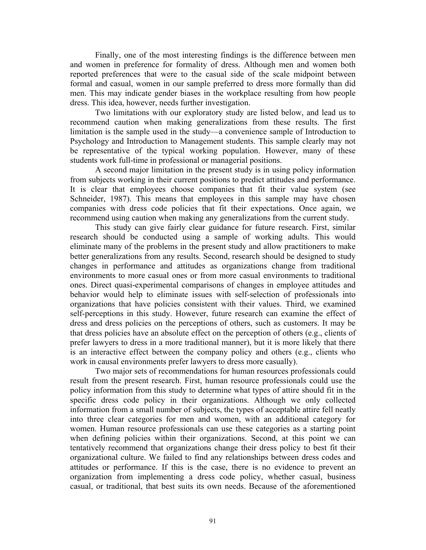Finally, one of the most interesting findings is the difference between men and women in preference for formality of dress. Although men and women both reported preferences that were to the casual side of the scale midpoint between formal and casual, women in our sample preferred to dress more formally than did men. This may indicate gender biases in the workplace resulting from how people dress. This idea, however, needs further investigation.

Two limitations with our exploratory study are listed below, and lead us to recommend caution when making generalizations from these results. The first limitation is the sample used in the study—a convenience sample of Introduction to Psychology and Introduction to Management students. This sample clearly may not be representative of the typical working population. However, many of these students work full-time in professional or managerial positions.

A second major limitation in the present study is in using policy information from subjects working in their current positions to predict attitudes and performance. It is clear that employees choose companies that fit their value system (see Schneider, 1987). This means that employees in this sample may have chosen companies with dress code policies that fit their expectations. Once again, we recommend using caution when making any generalizations from the current study.

This study can give fairly clear guidance for future research. First, similar research should be conducted using a sample of working adults. This would eliminate many of the problems in the present study and allow practitioners to make better generalizations from any results. Second, research should be designed to study changes in performance and attitudes as organizations change from traditional environments to more casual ones or from more casual environments to traditional ones. Direct quasi-experimental comparisons of changes in employee attitudes and behavior would help to eliminate issues with self-selection of professionals into organizations that have policies consistent with their values. Third, we examined self-perceptions in this study. However, future research can examine the effect of dress and dress policies on the perceptions of others, such as customers. It may be that dress policies have an absolute effect on the perception of others (e.g., clients of prefer lawyers to dress in a more traditional manner), but it is more likely that there is an interactive effect between the company policy and others (e.g., clients who work in causal environments prefer lawyers to dress more casually).

Two major sets of recommendations for human resources professionals could result from the present research. First, human resource professionals could use the policy information from this study to determine what types of attire should fit in the specific dress code policy in their organizations. Although we only collected information from a small number of subjects, the types of acceptable attire fell neatly into three clear categories for men and women, with an additional category for women. Human resource professionals can use these categories as a starting point when defining policies within their organizations. Second, at this point we can tentatively recommend that organizations change their dress policy to best fit their organizational culture. We failed to find any relationships between dress codes and attitudes or performance. If this is the case, there is no evidence to prevent an organization from implementing a dress code policy, whether casual, business casual, or traditional, that best suits its own needs. Because of the aforementioned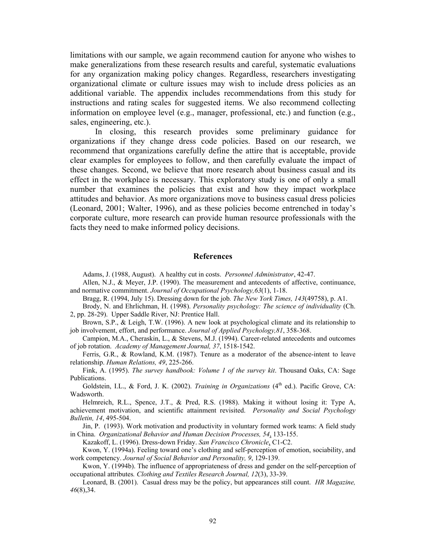limitations with our sample, we again recommend caution for anyone who wishes to make generalizations from these research results and careful, systematic evaluations for any organization making policy changes. Regardless, researchers investigating organizational climate or culture issues may wish to include dress policies as an additional variable. The appendix includes recommendations from this study for instructions and rating scales for suggested items. We also recommend collecting information on employee level (e.g., manager, professional, etc.) and function (e.g., sales, engineering, etc.).

In closing, this research provides some preliminary guidance for organizations if they change dress code policies. Based on our research, we recommend that organizations carefully define the attire that is acceptable, provide clear examples for employees to follow, and then carefully evaluate the impact of these changes. Second, we believe that more research about business casual and its effect in the workplace is necessary. This exploratory study is one of only a small number that examines the policies that exist and how they impact workplace attitudes and behavior. As more organizations move to business casual dress policies (Leonard, 2001; Walter, 1996), and as these policies become entrenched in today's corporate culture, more research can provide human resource professionals with the facts they need to make informed policy decisions.

#### **References**

Adams, J. (1988, August). A healthy cut in costs. *Personnel Administrator*, 42-47.

Allen, N.J., & Meyer, J.P. (1990). The measurement and antecedents of affective, continuance, and normative commitment. *Journal of Occupational Psychology,63*(1), 1-18.

Bragg, R. (1994, July 15). Dressing down for the job*. The New York Times, 143*(49758), p. A1.

Brody, N. and Ehrlichman, H. (1998). *Personality psychology: The science of individuality* (Ch. 2, pp. 28-29). Upper Saddle River, NJ: Prentice Hall.

Brown, S.P., & Leigh, T.W. (1996). A new look at psychological climate and its relationship to job involvement, effort, and performance. *Journal of Applied Psychology,81*, 358-368.

Campion, M.A., Cheraskin, L., & Stevens, M.J. (1994). Career-related antecedents and outcomes of job rotation. *Academy of Management Journal, 37*, 1518-1542.

Ferris, G.R., & Rowland, K.M. (1987). Tenure as a moderator of the absence-intent to leave relationship. *Human Relations, 49*, 225-266.

Fink, A. (1995). *The survey handbook: Volume 1 of the survey kit*. Thousand Oaks, CA: Sage Publications.

Goldstein, I.L., & Ford, J. K. (2002). *Training in Organizations* (4<sup>th</sup> ed.). Pacific Grove, CA: Wadsworth.

Helmreich, R.L., Spence, J.T., & Pred, R.S. (1988). Making it without losing it: Type A, achievement motivation, and scientific attainment revisited. *Personality and Social Psychology Bulletin, 14*, 495-504.

Jin, P. (1993). Work motivation and productivity in voluntary formed work teams: A field study in China. *Organizational Behavior and Human Decision Processes, 54*, 133-155.

Kazakoff, L. (1996). Dress-down Friday. *San Francisco Chronicle*, C1-C2.

Kwon, Y. (1994a). Feeling toward one's clothing and self-perception of emotion, sociability, and work competency. *Journal of Social Behavior and Personality, 9*, 129-139.

Kwon, Y. (1994b). The influence of appropriateness of dress and gender on the self-perception of occupational attributes*. Clothing and Textiles Research Journal, 12*(3), 33-39.

Leonard, B. (2001). Casual dress may be the policy, but appearances still count. *HR Magazine, 46*(8),34.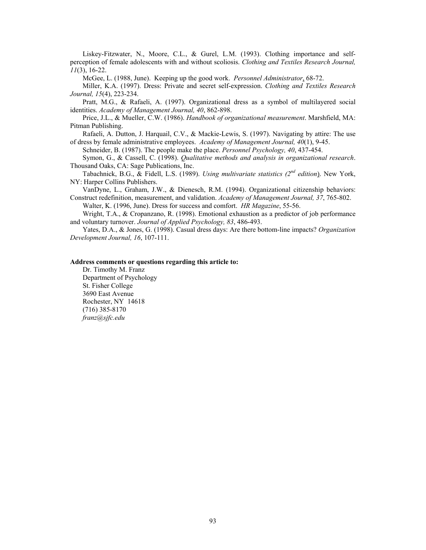Liskey-Fitzwater, N., Moore, C.L., & Gurel, L.M. (1993). Clothing importance and selfperception of female adolescents with and without scoliosis. *Clothing and Textiles Research Journal, 11*(3), 16-22.

McGee, L. (1988, June). Keeping up the good work. *Personnel Administrator*, 68-72.

Miller, K.A. (1997). Dress: Private and secret self-expression. *Clothing and Textiles Research Journal, 15*(4), 223-234.

Pratt, M.G., & Rafaeli, A. (1997). Organizational dress as a symbol of multilayered social identities. *Academy of Management Journal, 40*, 862-898.

Price, J.L., & Mueller, C.W. (1986). *Handbook of organizational measurement*. Marshfield, MA: Pitman Publishing.

Rafaeli, A. Dutton, J. Harquail, C.V., & Mackie-Lewis, S. (1997). Navigating by attire: The use of dress by female administrative employees. *Academy of Management Journal, 40*(1), 9-45.

Schneider, B. (1987). The people make the place. *Personnel Psychology, 40*, 437-454.

Symon, G., & Cassell, C. (1998). *Qualitative methods and analysis in organizational research*. Thousand Oaks, CA: Sage Publications, Inc.

Tabachnick, B.G., & Fidell, L.S. (1989). *Using multivariate statistics (2nd edition*). New York, NY: Harper Collins Publishers.

VanDyne, L., Graham, J.W., & Dienesch, R.M. (1994). Organizational citizenship behaviors: Construct redefinition, measurement, and validation. *Academy of Management Journal, 37*, 765-802.

Walter, K. (1996, June). Dress for success and comfort. *HR Magazine*, 55-56.

Wright, T.A., & Cropanzano, R. (1998). Emotional exhaustion as a predictor of job performance and voluntary turnover. *Journal of Applied Psychology, 83*, 486-493.

Yates, D.A., & Jones, G. (1998). Casual dress days: Are there bottom-line impacts? *Organization Development Journal, 16*, 107-111.

#### **Address comments or questions regarding this article to:**

Dr. Timothy M. Franz Department of Psychology St. Fisher College 3690 East Avenue Rochester, NY 14618 (716) 385-8170 *franz@sjfc.edu*